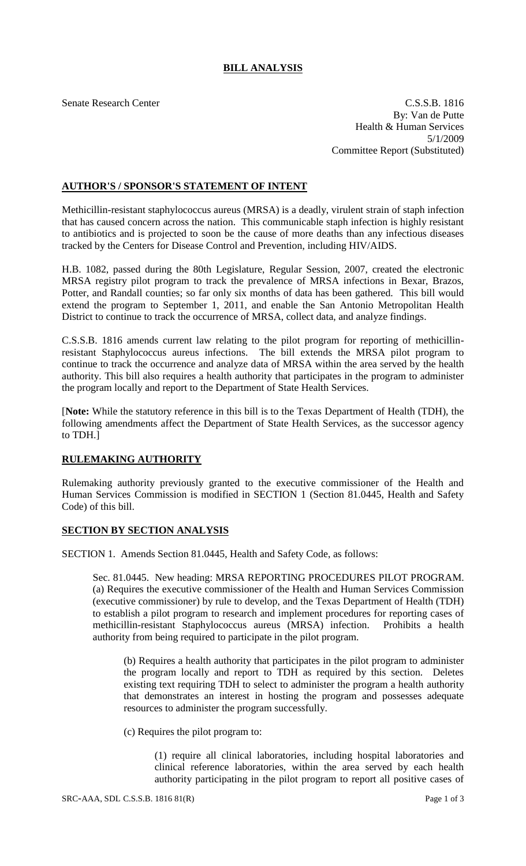## **BILL ANALYSIS**

Senate Research Center C.S.S.B. 1816 By: Van de Putte Health & Human Services 5/1/2009 Committee Report (Substituted)

## **AUTHOR'S / SPONSOR'S STATEMENT OF INTENT**

Methicillin-resistant staphylococcus aureus (MRSA) is a deadly, virulent strain of staph infection that has caused concern across the nation. This communicable staph infection is highly resistant to antibiotics and is projected to soon be the cause of more deaths than any infectious diseases tracked by the Centers for Disease Control and Prevention, including HIV/AIDS.

H.B. 1082, passed during the 80th Legislature, Regular Session, 2007, created the electronic MRSA registry pilot program to track the prevalence of MRSA infections in Bexar, Brazos, Potter, and Randall counties; so far only six months of data has been gathered. This bill would extend the program to September 1, 2011, and enable the San Antonio Metropolitan Health District to continue to track the occurrence of MRSA, collect data, and analyze findings.

C.S.S.B. 1816 amends current law relating to the pilot program for reporting of methicillinresistant Staphylococcus aureus infections. The bill extends the MRSA pilot program to continue to track the occurrence and analyze data of MRSA within the area served by the health authority. This bill also requires a health authority that participates in the program to administer the program locally and report to the Department of State Health Services.

[**Note:** While the statutory reference in this bill is to the Texas Department of Health (TDH), the following amendments affect the Department of State Health Services, as the successor agency to TDH.]

## **RULEMAKING AUTHORITY**

Rulemaking authority previously granted to the executive commissioner of the Health and Human Services Commission is modified in SECTION 1 (Section 81.0445, Health and Safety Code) of this bill.

## **SECTION BY SECTION ANALYSIS**

SECTION 1. Amends Section 81.0445, Health and Safety Code, as follows:

Sec. 81.0445. New heading: MRSA REPORTING PROCEDURES PILOT PROGRAM. (a) Requires the executive commissioner of the Health and Human Services Commission (executive commissioner) by rule to develop, and the Texas Department of Health (TDH) to establish a pilot program to research and implement procedures for reporting cases of methicillin-resistant Staphylococcus aureus (MRSA) infection. Prohibits a health authority from being required to participate in the pilot program.

(b) Requires a health authority that participates in the pilot program to administer the program locally and report to TDH as required by this section. Deletes existing text requiring TDH to select to administer the program a health authority that demonstrates an interest in hosting the program and possesses adequate resources to administer the program successfully.

(c) Requires the pilot program to:

(1) require all clinical laboratories, including hospital laboratories and clinical reference laboratories, within the area served by each health authority participating in the pilot program to report all positive cases of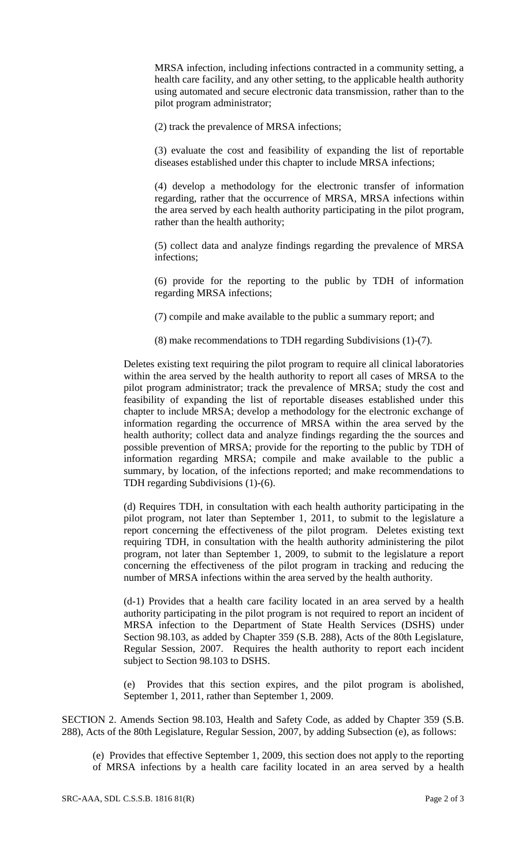MRSA infection, including infections contracted in a community setting, a health care facility, and any other setting, to the applicable health authority using automated and secure electronic data transmission, rather than to the pilot program administrator;

(2) track the prevalence of MRSA infections;

(3) evaluate the cost and feasibility of expanding the list of reportable diseases established under this chapter to include MRSA infections;

(4) develop a methodology for the electronic transfer of information regarding, rather that the occurrence of MRSA, MRSA infections within the area served by each health authority participating in the pilot program, rather than the health authority;

(5) collect data and analyze findings regarding the prevalence of MRSA infections;

(6) provide for the reporting to the public by TDH of information regarding MRSA infections;

(7) compile and make available to the public a summary report; and

(8) make recommendations to TDH regarding Subdivisions (1)-(7).

Deletes existing text requiring the pilot program to require all clinical laboratories within the area served by the health authority to report all cases of MRSA to the pilot program administrator; track the prevalence of MRSA; study the cost and feasibility of expanding the list of reportable diseases established under this chapter to include MRSA; develop a methodology for the electronic exchange of information regarding the occurrence of MRSA within the area served by the health authority; collect data and analyze findings regarding the the sources and possible prevention of MRSA; provide for the reporting to the public by TDH of information regarding MRSA; compile and make available to the public a summary, by location, of the infections reported; and make recommendations to TDH regarding Subdivisions (1)-(6).

(d) Requires TDH, in consultation with each health authority participating in the pilot program, not later than September 1, 2011, to submit to the legislature a report concerning the effectiveness of the pilot program. Deletes existing text requiring TDH, in consultation with the health authority administering the pilot program, not later than September 1, 2009, to submit to the legislature a report concerning the effectiveness of the pilot program in tracking and reducing the number of MRSA infections within the area served by the health authority.

(d-1) Provides that a health care facility located in an area served by a health authority participating in the pilot program is not required to report an incident of MRSA infection to the Department of State Health Services (DSHS) under Section 98.103, as added by Chapter 359 (S.B. 288), Acts of the 80th Legislature, Regular Session, 2007. Requires the health authority to report each incident subject to Section 98.103 to DSHS.

(e) Provides that this section expires, and the pilot program is abolished, September 1, 2011, rather than September 1, 2009.

SECTION 2. Amends Section 98.103, Health and Safety Code, as added by Chapter 359 (S.B. 288), Acts of the 80th Legislature, Regular Session, 2007, by adding Subsection (e), as follows:

(e) Provides that effective September 1, 2009, this section does not apply to the reporting of MRSA infections by a health care facility located in an area served by a health